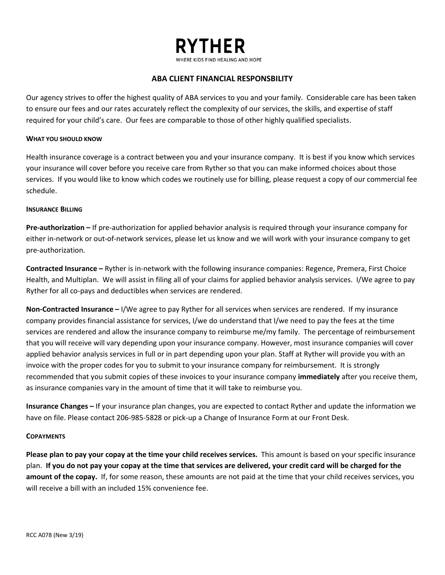

# **ABA CLIENT FINANCIAL RESPONSBILITY**

Our agency strives to offer the highest quality of ABA services to you and your family. Considerable care has been taken to ensure our fees and our rates accurately reflect the complexity of our services, the skills, and expertise of staff required for your child's care. Our fees are comparable to those of other highly qualified specialists.

### **WHAT YOU SHOULD KNOW**

Health insurance coverage is a contract between you and your insurance company. It is best if you know which services your insurance will cover before you receive care from Ryther so that you can make informed choices about those services. If you would like to know which codes we routinely use for billing, please request a copy of our commercial fee schedule.

#### **INSURANCE BILLING**

**Pre-authorization –** If pre-authorization for applied behavior analysis is required through your insurance company for either in-network or out-of-network services, please let us know and we will work with your insurance company to get pre-authorization.

**Contracted Insurance –** Ryther is in-network with the following insurance companies: Regence, Premera, First Choice Health, and Multiplan. We will assist in filing all of your claims for applied behavior analysis services. I/We agree to pay Ryther for all co-pays and deductibles when services are rendered.

**Non-Contracted Insurance –** I/We agree to pay Ryther for all services when services are rendered. If my insurance company provides financial assistance for services, I/we do understand that I/we need to pay the fees at the time services are rendered and allow the insurance company to reimburse me/my family. The percentage of reimbursement that you will receive will vary depending upon your insurance company. However, most insurance companies will cover applied behavior analysis services in full or in part depending upon your plan. Staff at Ryther will provide you with an invoice with the proper codes for you to submit to your insurance company for reimbursement. It is strongly recommended that you submit copies of these invoices to your insurance company **immediately** after you receive them, as insurance companies vary in the amount of time that it will take to reimburse you.

**Insurance Changes –** If your insurance plan changes, you are expected to contact Ryther and update the information we have on file. Please contact 206-985-5828 or pick-up a Change of Insurance Form at our Front Desk.

## **COPAYMENTS**

**Please plan to pay your copay at the time your child receives services.** This amount is based on your specific insurance plan. **If you do not pay your copay at the time that services are delivered, your credit card will be charged for the amount of the copay.** If, for some reason, these amounts are not paid at the time that your child receives services, you will receive a bill with an included 15% convenience fee.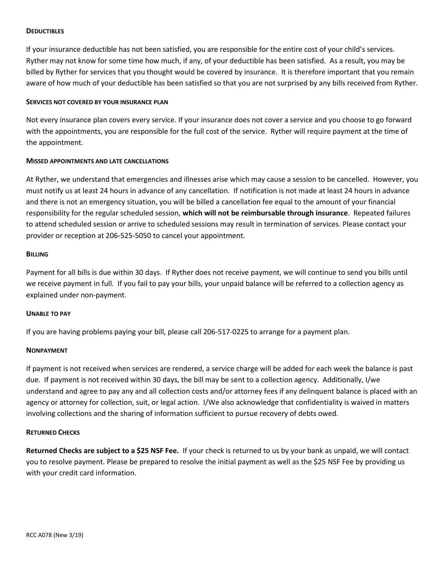## **DEDUCTIBLES**

If your insurance deductible has not been satisfied, you are responsible for the entire cost of your child's services. Ryther may not know for some time how much, if any, of your deductible has been satisfied. As a result, you may be billed by Ryther for services that you thought would be covered by insurance. It is therefore important that you remain aware of how much of your deductible has been satisfied so that you are not surprised by any bills received from Ryther.

#### **SERVICES NOT COVERED BY YOUR INSURANCE PLAN**

Not every insurance plan covers every service. If your insurance does not cover a service and you choose to go forward with the appointments, you are responsible for the full cost of the service. Ryther will require payment at the time of the appointment.

## **MISSED APPOINTMENTS AND LATE CANCELLATIONS**

At Ryther, we understand that emergencies and illnesses arise which may cause a session to be cancelled. However, you must notify us at least 24 hours in advance of any cancellation. If notification is not made at least 24 hours in advance and there is not an emergency situation, you will be billed a cancellation fee equal to the amount of your financial responsibility for the regular scheduled session, **which will not be reimbursable through insurance**. Repeated failures to attend scheduled session or arrive to scheduled sessions may result in termination of services. Please contact your provider or reception at 206-525-5050 to cancel your appointment.

### **BILLING**

Payment for all bills is due within 30 days. If Ryther does not receive payment, we will continue to send you bills until we receive payment in full. If you fail to pay your bills, your unpaid balance will be referred to a collection agency as explained under non-payment.

## **UNABLE TO PAY**

If you are having problems paying your bill, please call 206-517-0225 to arrange for a payment plan.

## **NONPAYMENT**

If payment is not received when services are rendered, a service charge will be added for each week the balance is past due. If payment is not received within 30 days, the bill may be sent to a collection agency. Additionally, I/we understand and agree to pay any and all collection costs and/or attorney fees if any delinquent balance is placed with an agency or attorney for collection, suit, or legal action. I/We also acknowledge that confidentiality is waived in matters involving collections and the sharing of information sufficient to pursue recovery of debts owed.

#### **RETURNED CHECKS**

**Returned Checks are subject to a \$25 NSF Fee.** If your check is returned to us by your bank as unpaid, we will contact you to resolve payment. Please be prepared to resolve the initial payment as well as the \$25 NSF Fee by providing us with your credit card information.